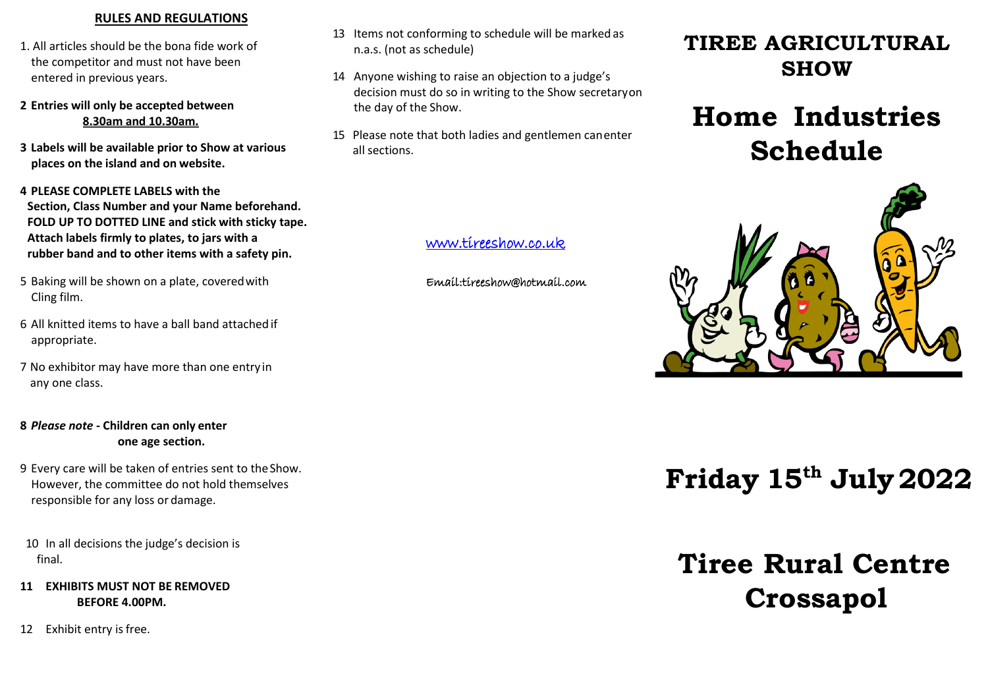### **RULES AND REGULATIONS**

- 1. All articles should be the bona fide work of the competitor and must not have been entered in previous years.
- **2 Entries will only be accepted between 8.30am and 10.30am.**
- **3 Labels will be available prior to Show at various places on the island and on website.**

**4 PLEASE COMPLETE LABELS with the Section, Class Number and your Name beforehand. FOLD UP TO DOTTED LINE and stick with sticky tape. Attach labels firmly to plates, to jars with a rubber band and to other items with a safety pin.**

- 5 Baking will be shown on a plate, coveredwith Cling film.
- 6 All knitted items to have a ball band attached if appropriate.
- 7 No exhibitor may have more than one entry in any one class.

# **8** *Please note* **- Children can only enter one age section.**

- 9 Every care will be taken of entries sent to theShow. However, the committee do not hold themselves responsible for any loss or damage.
- 10 In all decisions the judge's decision is final.
- **11 EXHIBITS MUST NOT BE REMOVED BEFORE 4.00PM.**
- 12 Exhibit entry is free.
- 13 Items not conforming to schedule will be marked as n.a.s. (not as schedule)
- 14 Anyone wishing to raise an objection to a judge's decision must do so in writing to the Show secretaryon the day of the Show.
- 15 Please note that both ladies and gentlemen canenter all sections.

# [www.tireeshow.co.uk](http://www.tireeshow.co.uk/)

Email:tireeshow@hotmail.com

# **TIREE AGRICULTURAL SHOW**

# **Home Industries Schedule**



# **Friday 15 th July2022**

# **Tiree Rural Centre Crossapol**